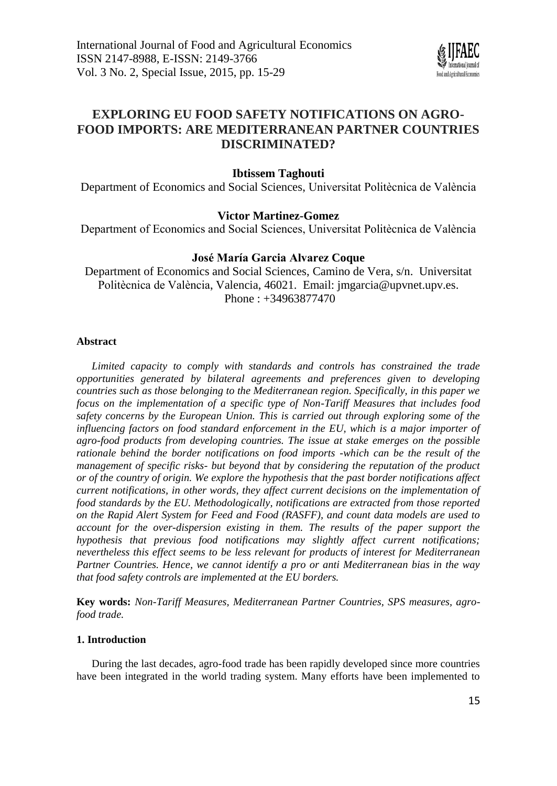

# **EXPLORING EU FOOD SAFETY NOTIFICATIONS ON AGRO-FOOD IMPORTS: ARE MEDITERRANEAN PARTNER COUNTRIES DISCRIMINATED?**

## **Ibtissem Taghouti**

Department of Economics and Social Sciences, Universitat Politècnica de València

### **Victor Martinez-Gomez**

Department of Economics and Social Sciences, Universitat Politècnica de València

# **José María Garcia Alvarez Coque**

Department of Economics and Social Sciences, Camino de Vera, s/n. Universitat Politècnica de València, Valencia, 46021. Email: [jmgarcia@upvnet.upv.es.](mailto:jmgarcia@upvnet.upv.es) Phone : +34963877470

### **Abstract**

*Limited capacity to comply with standards and controls has constrained the trade opportunities generated by bilateral agreements and preferences given to developing countries such as those belonging to the Mediterranean region. Specifically, in this paper we focus on the implementation of a specific type of Non-Tariff Measures that includes food safety concerns by the European Union. This is carried out through exploring some of the influencing factors on food standard enforcement in the EU, which is a major importer of agro-food products from developing countries. The issue at stake emerges on the possible rationale behind the border notifications on food imports -which can be the result of the management of specific risks- but beyond that by considering the reputation of the product or of the country of origin. We explore the hypothesis that the past border notifications affect current notifications, in other words, they affect current decisions on the implementation of food standards by the EU. Methodologically, notifications are extracted from those reported on the Rapid Alert System for Feed and Food (RASFF), and count data models are used to account for the over-dispersion existing in them. The results of the paper support the hypothesis that previous food notifications may slightly affect current notifications; nevertheless this effect seems to be less relevant for products of interest for Mediterranean Partner Countries. Hence, we cannot identify a pro or anti Mediterranean bias in the way that food safety controls are implemented at the EU borders.*

**Key words:** *Non-Tariff Measures, Mediterranean Partner Countries, SPS measures, agrofood trade.*

### **1. Introduction**

During the last decades, agro-food trade has been rapidly developed since more countries have been integrated in the world trading system. Many efforts have been implemented to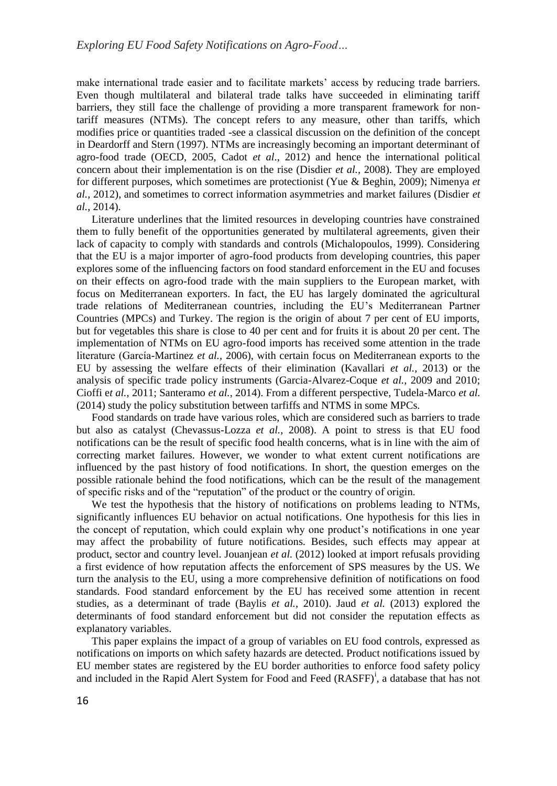make international trade easier and to facilitate markets' access by reducing trade barriers. Even though multilateral and bilateral trade talks have succeeded in eliminating tariff barriers, they still face the challenge of providing a more transparent framework for nontariff measures (NTMs). The concept refers to any measure, other than tariffs, which modifies price or quantities traded -see a classical discussion on the definition of the concept in Deardorff and Stern (1997). NTMs are increasingly becoming an important determinant of agro-food trade (OECD, 2005, Cadot *et al*., 2012) and hence the international political concern about their implementation is on the rise (Disdier *et al.*, 2008). They are employed for different purposes, which sometimes are protectionist (Yue & Beghin, 2009); Nimenya *et al.,* 2012), and sometimes to correct information asymmetries and market failures (Disdier *et al.*, 2014).

Literature underlines that the limited resources in developing countries have constrained them to fully benefit of the opportunities generated by multilateral agreements, given their lack of capacity to comply with standards and controls (Michalopoulos, 1999). Considering that the EU is a major importer of agro-food products from developing countries, this paper explores some of the influencing factors on food standard enforcement in the EU and focuses on their effects on agro-food trade with the main suppliers to the European market, with focus on Mediterranean exporters. In fact, the EU has largely dominated the agricultural trade relations of Mediterranean countries, including the EU's Mediterranean Partner Countries (MPCs) and Turkey. The region is the origin of about 7 per cent of EU imports, but for vegetables this share is close to 40 per cent and for fruits it is about 20 per cent. The implementation of NTMs on EU agro-food imports has received some attention in the trade literature (García-Martinez *et al.,* 2006), with certain focus on Mediterranean exports to the EU by assessing the welfare effects of their elimination (Kavallari *et al.*, 2013) or the analysis of specific trade policy instruments (Garcia-Alvarez-Coque *et al.*, 2009 and 2010; Cioffi e*t al.*, 2011; Santeramo *et al.*, 2014). From a different perspective, Tudela-Marco *et al.* (2014) study the policy substitution between tarfiffs and NTMS in some MPCs.

Food standards on trade have various roles, which are considered such as barriers to trade but also as catalyst (Chevassus-Lozza *et al.*, 2008). A point to stress is that EU food notifications can be the result of specific food health concerns, what is in line with the aim of correcting market failures. However, we wonder to what extent current notifications are influenced by the past history of food notifications. In short, the question emerges on the possible rationale behind the food notifications, which can be the result of the management of specific risks and of the "reputation" of the product or the country of origin.

We test the hypothesis that the history of notifications on problems leading to NTMs, significantly influences EU behavior on actual notifications. One hypothesis for this lies in the concept of reputation, which could explain why one product's notifications in one year may affect the probability of future notifications. Besides, such effects may appear at product, sector and country level. Jouanjean *et al.* (2012) looked at import refusals providing a first evidence of how reputation affects the enforcement of SPS measures by the US. We turn the analysis to the EU, using a more comprehensive definition of notifications on food standards. Food standard enforcement by the EU has received some attention in recent studies, as a determinant of trade (Baylis *et al.*, 2010). Jaud *et al.* (2013) explored the determinants of food standard enforcement but did not consider the reputation effects as explanatory variables.

This paper explains the impact of a group of variables on EU food controls, expressed as notifications on imports on which safety hazards are detected. Product notifications issued by EU member states are registered by the EU border authorities to enforce food safety policy and included in the Rapid Alert System for Food and Feed (RASFF)<sup>1</sup>, a database that has not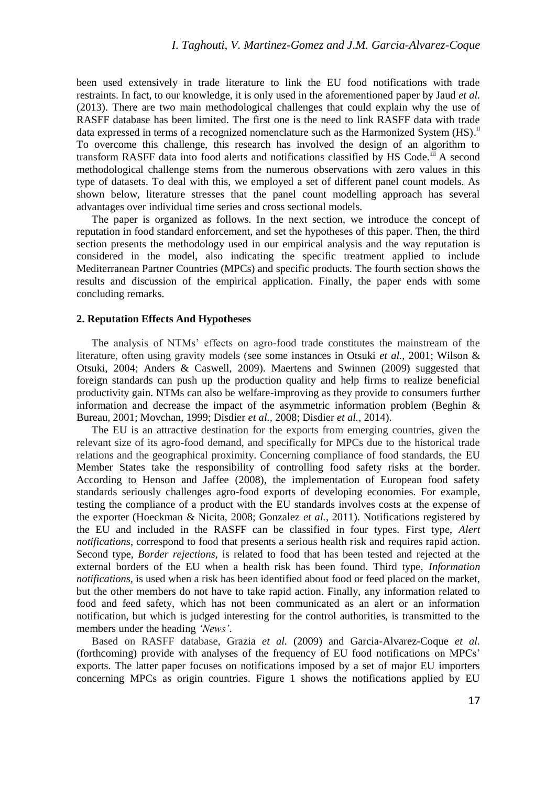been used extensively in trade literature to link the EU food notifications with trade restraints. In fact, to our knowledge, it is only used in the aforementioned paper by Jaud *et al.*  (2013). There are two main methodological challenges that could explain why the use of RASFF database has been limited. The first one is the need to link RASFF data with trade data expressed in terms of a recognized nomenclature such as the Harmonized System  $(HS)^{ii}$ To overcome this challenge, this research has involved the design of an algorithm to transform RASFF data into food alerts and notifications classified by HS Code.<sup>iii</sup> A second methodological challenge stems from the numerous observations with zero values in this type of datasets. To deal with this, we employed a set of different panel count models. As shown below, literature stresses that the panel count modelling approach has several advantages over individual time series and cross sectional models.

The paper is organized as follows. In the next section, we introduce the concept of reputation in food standard enforcement, and set the hypotheses of this paper. Then, the third section presents the methodology used in our empirical analysis and the way reputation is considered in the model, also indicating the specific treatment applied to include Mediterranean Partner Countries (MPCs) and specific products. The fourth section shows the results and discussion of the empirical application. Finally, the paper ends with some concluding remarks.

### **2. Reputation Effects And Hypotheses**

The analysis of NTMs' effects on agro-food trade constitutes the mainstream of the literature, often using gravity models (see some instances in Otsuki *et al.,* 2001; Wilson & Otsuki, 2004; Anders & Caswell, 2009). Maertens and Swinnen (2009) suggested that foreign standards can push up the production quality and help firms to realize beneficial productivity gain. NTMs can also be welfare-improving as they provide to consumers further information and decrease the impact of the asymmetric information problem (Beghin  $\&$ Bureau*,* 2001; Movchan, 1999; Disdier *et al.,* 2008; Disdier *et al.*, 2014).

The EU is an attractive destination for the exports from emerging countries, given the relevant size of its agro-food demand, and specifically for MPCs due to the historical trade relations and the geographical proximity. Concerning compliance of food standards, the EU Member States take the responsibility of controlling food safety risks at the border. According to Henson and Jaffee (2008), the implementation of European food safety standards seriously challenges agro-food exports of developing economies. For example, testing the compliance of a product with the EU standards involves costs at the expense of the exporter (Hoeckman & Nicita, 2008; Gonzalez *et al.*, 2011). Notifications registered by the EU and included in the RASFF can be classified in four types. First type, *Alert notifications,* correspond to food that presents a serious health risk and requires rapid action. Second type, *Border rejections,* is related to food that has been tested and rejected at the external borders of the EU when a health risk has been found. Third type, *Information notifications,* is used when a risk has been identified about food or feed placed on the market, but the other members do not have to take rapid action. Finally, any information related to food and feed safety, which has not been communicated as an alert or an information notification, but which is judged interesting for the control authorities, is transmitted to the members under the heading *'News'*.

Based on RASFF database, Grazia *et al.* (2009) and Garcia-Alvarez-Coque *et al.* (forthcoming) provide with analyses of the frequency of EU food notifications on MPCs' exports. The latter paper focuses on notifications imposed by a set of major EU importers concerning MPCs as origin countries. Figure 1 shows the notifications applied by EU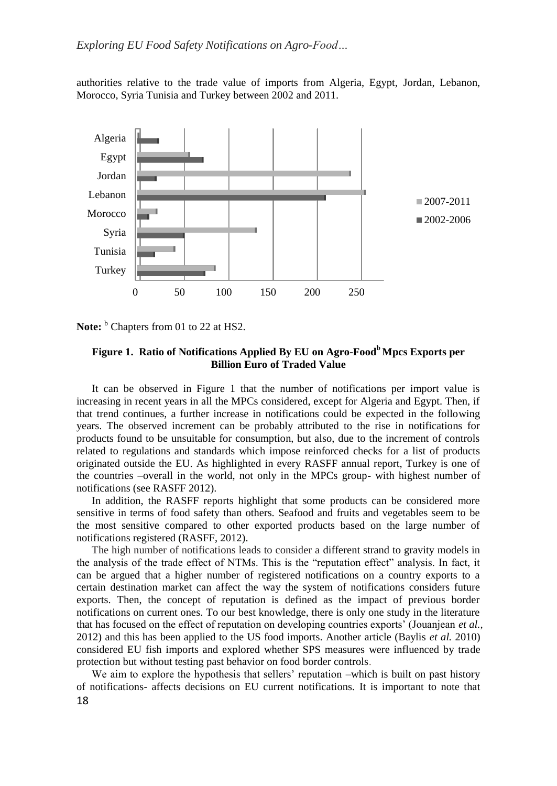authorities relative to the trade value of imports from Algeria, Egypt, Jordan, Lebanon, Morocco, Syria Tunisia and Turkey between 2002 and 2011.



**Note:** <sup>b</sup> Chapters from 01 to 22 at HS2.

# **Figure 1. Ratio of Notifications Applied By EU on Agro-Food<sup>b</sup>Mpcs Exports per Billion Euro of Traded Value**

It can be observed in Figure 1 that the number of notifications per import value is increasing in recent years in all the MPCs considered, except for Algeria and Egypt. Then, if that trend continues, a further increase in notifications could be expected in the following years. The observed increment can be probably attributed to the rise in notifications for products found to be unsuitable for consumption, but also, due to the increment of controls related to regulations and standards which impose reinforced checks for a list of products originated outside the EU. As highlighted in every RASFF annual report, Turkey is one of the countries –overall in the world, not only in the MPCs group- with highest number of notifications (see RASFF 2012).

In addition, the RASFF reports highlight that some products can be considered more sensitive in terms of food safety than others. Seafood and fruits and vegetables seem to be the most sensitive compared to other exported products based on the large number of notifications registered (RASFF, 2012).

The high number of notifications leads to consider a different strand to gravity models in the analysis of the trade effect of NTMs. This is the "reputation effect" analysis. In fact, it can be argued that a higher number of registered notifications on a country exports to a certain destination market can affect the way the system of notifications considers future exports. Then, the concept of reputation is defined as the impact of previous border notifications on current ones. To our best knowledge, there is only one study in the literature that has focused on the effect of reputation on developing countries exports' (Jouanjean *et al.,* 2012) and this has been applied to the US food imports. Another article (Baylis *et al.* 2010) considered EU fish imports and explored whether SPS measures were influenced by trade protection but without testing past behavior on food border controls.

18 We aim to explore the hypothesis that sellers' reputation –which is built on past history of notifications- affects decisions on EU current notifications. It is important to note that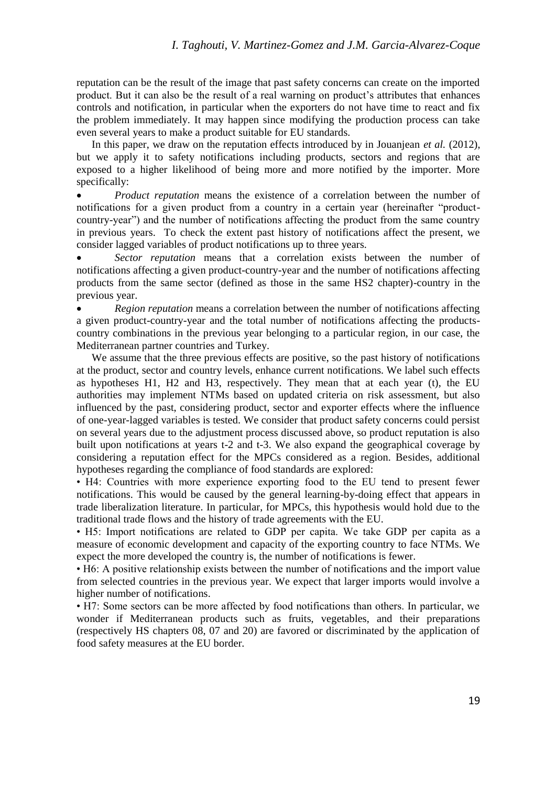reputation can be the result of the image that past safety concerns can create on the imported product. But it can also be the result of a real warning on product's attributes that enhances controls and notification, in particular when the exporters do not have time to react and fix the problem immediately. It may happen since modifying the production process can take even several years to make a product suitable for EU standards.

In this paper, we draw on the reputation effects introduced by in Jouanjean *et al.* (2012), but we apply it to safety notifications including products, sectors and regions that are exposed to a higher likelihood of being more and more notified by the importer. More specifically:

 *Product reputation* means the existence of a correlation between the number of notifications for a given product from a country in a certain year (hereinafter "productcountry-year") and the number of notifications affecting the product from the same country in previous years. To check the extent past history of notifications affect the present, we consider lagged variables of product notifications up to three years.

 *Sector reputation* means that a correlation exists between the number of notifications affecting a given product-country-year and the number of notifications affecting products from the same sector (defined as those in the same HS2 chapter)-country in the previous year.

 *Region reputation* means a correlation between the number of notifications affecting a given product-country-year and the total number of notifications affecting the productscountry combinations in the previous year belonging to a particular region, in our case, the Mediterranean partner countries and Turkey.

We assume that the three previous effects are positive, so the past history of notifications at the product, sector and country levels, enhance current notifications. We label such effects as hypotheses H1, H2 and H3, respectively. They mean that at each year (t), the EU authorities may implement NTMs based on updated criteria on risk assessment, but also influenced by the past, considering product, sector and exporter effects where the influence of one-year-lagged variables is tested. We consider that product safety concerns could persist on several years due to the adjustment process discussed above, so product reputation is also built upon notifications at years t-2 and t-3. We also expand the geographical coverage by considering a reputation effect for the MPCs considered as a region. Besides, additional hypotheses regarding the compliance of food standards are explored:

• H4: Countries with more experience exporting food to the EU tend to present fewer notifications. This would be caused by the general learning-by-doing effect that appears in trade liberalization literature. In particular, for MPCs, this hypothesis would hold due to the traditional trade flows and the history of trade agreements with the EU.

• H5: Import notifications are related to GDP per capita. We take GDP per capita as a measure of economic development and capacity of the exporting country to face NTMs. We expect the more developed the country is, the number of notifications is fewer.

• H6: A positive relationship exists between the number of notifications and the import value from selected countries in the previous year. We expect that larger imports would involve a higher number of notifications.

• H7: Some sectors can be more affected by food notifications than others. In particular, we wonder if Mediterranean products such as fruits, vegetables, and their preparations (respectively HS chapters 08, 07 and 20) are favored or discriminated by the application of food safety measures at the EU border.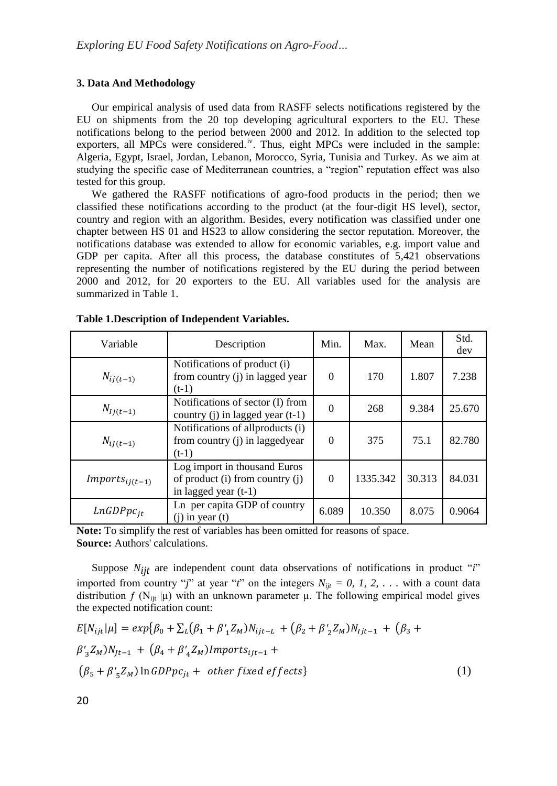### **3. Data And Methodology**

Our empirical analysis of used data from RASFF selects notifications registered by the EU on shipments from the 20 top developing agricultural exporters to the EU. These notifications belong to the period between 2000 and 2012. In addition to the selected top exporters, all MPCs were considered.<sup>iv</sup>. Thus, eight MPCs were included in the sample: Algeria, Egypt, Israel, Jordan, Lebanon, Morocco, Syria, Tunisia and Turkey. As we aim at studying the specific case of Mediterranean countries, a "region" reputation effect was also tested for this group.

We gathered the RASFF notifications of agro-food products in the period; then we classified these notifications according to the product (at the four-digit HS level), sector, country and region with an algorithm. Besides, every notification was classified under one chapter between HS 01 and HS23 to allow considering the sector reputation. Moreover, the notifications database was extended to allow for economic variables, e.g. import value and GDP per capita. After all this process, the database constitutes of 5,421 observations representing the number of notifications registered by the EU during the period between 2000 and 2012, for 20 exporters to the EU. All variables used for the analysis are summarized in Table 1.

| Variable            | Description                                                                               | Min.     | Max.     | Mean   | Std.<br>dev |
|---------------------|-------------------------------------------------------------------------------------------|----------|----------|--------|-------------|
| $N_{ij(t-1)}$       | Notifications of product (i)<br>from country (j) in lagged year<br>$(t-1)$                | $\Omega$ | 170      | 1.807  | 7.238       |
| $N_{lj(t-1)}$       | Notifications of sector (I) from<br>country $(j)$ in lagged year $(t-1)$                  | $\Omega$ | 268      | 9.384  | 25.670      |
| $N_{iJ(t-1)}$       | Notifications of all products (i)<br>from country (j) in laggedyear<br>$(t-1)$            | $\Omega$ | 375      | 75.1   | 82.780      |
| $Imports_{ij(t-1)}$ | Log import in thousand Euros<br>of product (i) from country (j)<br>in lagged year $(t-1)$ | $\Omega$ | 1335.342 | 30.313 | 84.031      |
| $LnGDPpc_{it}$      | Ln per capita GDP of country<br>$(i)$ in year $(t)$                                       | 6.089    | 10.350   | 8.075  | 0.9064      |

#### **Table 1.Description of Independent Variables.**

**Note:** To simplify the rest of variables has been omitted for reasons of space. **Source:** Authors' calculations.

Suppose *Nijt* are independent count data observations of notifications in product "*i*" imported from country "*j*" at year "*t*" on the integers  $N_{ijt} = 0, 1, 2, \ldots$  with a count data distribution  $f(N_{\text{lit}}|\mu)$  with an unknown parameter  $\mu$ . The following empirical model gives the expected notification count:

$$
E[N_{ijt}|\mu] = exp{\beta_0 + \sum_L (\beta_1 + \beta'_1 Z_M)N_{ijt-L} + (\beta_2 + \beta'_2 Z_M)N_{ijt-1} + (\beta_3 + \beta'_3 Z_M)N_{jt-1} + (\beta_4 + \beta'_4 Z_M)Imports_{ijt-1} +
$$
  

$$
(\beta_5 + \beta'_5 Z_M) \ln GDPpc_{jt} + other fixed effects
$$
 (1)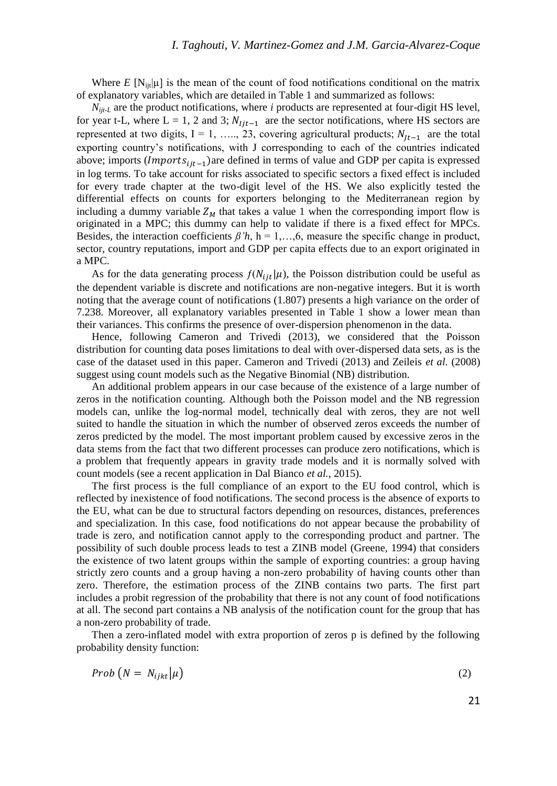Where *E*  $[N_{ii}|\mu]$  is the mean of the count of food notifications conditional on the matrix of explanatory variables, which are detailed in Table 1 and summarized as follows:

*Nijt-L* are the product notifications, where *i* products are represented at four-digit HS level, for year t-L, where L = 1, 2 and 3;  $N_{ijt-1}$  are the sector notifications, where HS sectors are represented at two digits, I = 1, ….., 23, covering agricultural products;  $N_{lt-1}$  are the total exporting country's notifications, with J corresponding to each of the countries indicated above; imports ( $Imports_{ij}$ <sub>11</sub>-1)are defined in terms of value and GDP per capita is expressed in log terms. To take account for risks associated to specific sectors a fixed effect is included for every trade chapter at the two-digit level of the HS. We also explicitly tested the differential effects on counts for exporters belonging to the Mediterranean region by including a dummy variable  $Z_M$  that takes a value 1 when the corresponding import flow is originated in a MPC; this dummy can help to validate if there is a fixed effect for MPCs. Besides, the interaction coefficients  $\beta' h$ , h = 1,...,6, measure the specific change in product, sector, country reputations, import and GDP per capita effects due to an export originated in a MPC.

As for the data generating process  $f(N_{ijt}|\mu)$ , the Poisson distribution could be useful as the dependent variable is discrete and notifications are non-negative integers. But it is worth noting that the average count of notifications (1.807) presents a high variance on the order of 7.238. Moreover, all explanatory variables presented in Table 1 show a lower mean than their variances. This confirms the presence of over-dispersion phenomenon in the data.

Hence, following Cameron and Trivedi (2013), we considered that the Poisson distribution for counting data poses limitations to deal with over-dispersed data sets, as is the case of the dataset used in this paper. Cameron and Trivedi (2013) and Zeileis *et al.* (2008) suggest using count models such as the Negative Binomial (NB) distribution.

An additional problem appears in our case because of the existence of a large number of zeros in the notification counting. Although both the Poisson model and the NB regression models can, unlike the log-normal model, technically deal with zeros, they are not well suited to handle the situation in which the number of observed zeros exceeds the number of zeros predicted by the model. The most important problem caused by excessive zeros in the data stems from the fact that two different processes can produce zero notifications, which is a problem that frequently appears in gravity trade models and it is normally solved with count models (see a recent application in Dal Bianco *et al.*, 2015).

The first process is the full compliance of an export to the EU food control, which is reflected by inexistence of food notifications. The second process is the absence of exports to the EU, what can be due to structural factors depending on resources, distances, preferences and specialization. In this case, food notifications do not appear because the probability of trade is zero, and notification cannot apply to the corresponding product and partner. The possibility of such double process leads to test a ZINB model (Greene, 1994) that considers the existence of two latent groups within the sample of exporting countries: a group having strictly zero counts and a group having a non-zero probability of having counts other than zero. Therefore, the estimation process of the ZINB contains two parts. The first part includes a probit regression of the probability that there is not any count of food notifications at all. The second part contains a NB analysis of the notification count for the group that has a non-zero probability of trade.

Then a zero-inflated model with extra proportion of zeros p is defined by the following probability density function:

$$
Prob(N = N_{ijkl}|\mu) \tag{2}
$$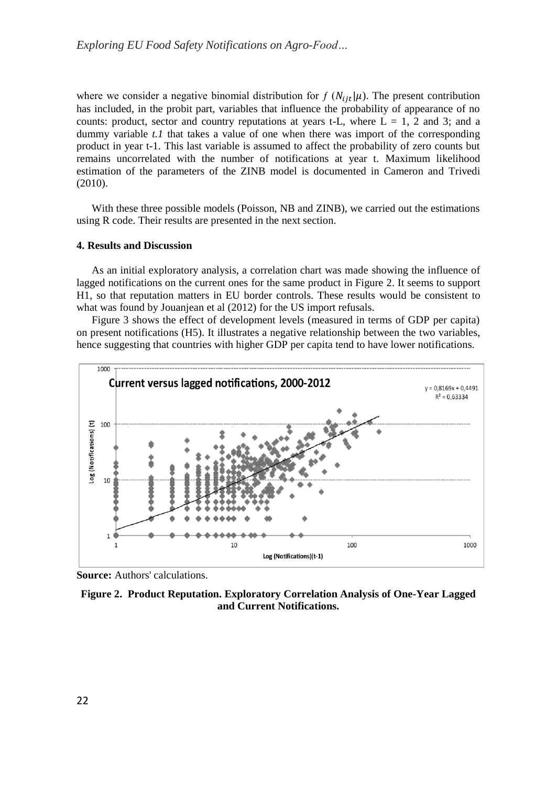where we consider a negative binomial distribution for  $f(N_{i}{}_{i\tau}|\mu)$ . The present contribution has included, in the probit part, variables that influence the probability of appearance of no counts: product, sector and country reputations at years t-L, where  $L = 1$ , 2 and 3; and a dummy variable *t.1* that takes a value of one when there was import of the corresponding product in year t-1. This last variable is assumed to affect the probability of zero counts but remains uncorrelated with the number of notifications at year t. Maximum likelihood estimation of the parameters of the ZINB model is documented in Cameron and Trivedi (2010).

With these three possible models (Poisson, NB and ZINB), we carried out the estimations using R code. Their results are presented in the next section.

### **4. Results and Discussion**

As an initial exploratory analysis, a correlation chart was made showing the influence of lagged notifications on the current ones for the same product in Figure 2. It seems to support H1, so that reputation matters in EU border controls. These results would be consistent to what was found by Jouanjean et al (2012) for the US import refusals.

Figure 3 shows the effect of development levels (measured in terms of GDP per capita) on present notifications (H5). It illustrates a negative relationship between the two variables, hence suggesting that countries with higher GDP per capita tend to have lower notifications.



**Source:** Authors' calculations.

**Figure 2. Product Reputation. Exploratory Correlation Analysis of One-Year Lagged and Current Notifications.**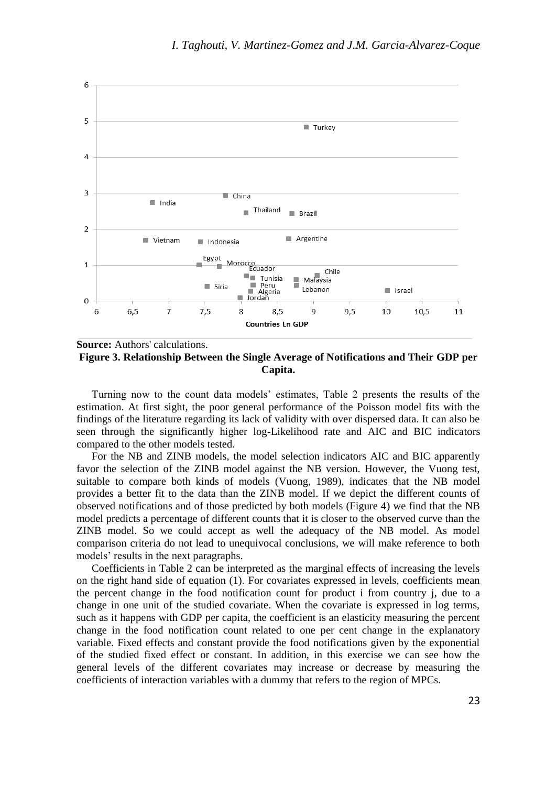

**Source:** Authors' calculations. **Figure 3. Relationship Between the Single Average of Notifications and Their GDP per Capita.**

Turning now to the count data models' estimates, Table 2 presents the results of the estimation. At first sight, the poor general performance of the Poisson model fits with the findings of the literature regarding its lack of validity with over dispersed data. It can also be seen through the significantly higher log-Likelihood rate and AIC and BIC indicators compared to the other models tested.

For the NB and ZINB models, the model selection indicators AIC and BIC apparently favor the selection of the ZINB model against the NB version. However, the Vuong test, suitable to compare both kinds of models (Vuong, 1989), indicates that the NB model provides a better fit to the data than the ZINB model. If we depict the different counts of observed notifications and of those predicted by both models (Figure 4) we find that the NB model predicts a percentage of different counts that it is closer to the observed curve than the ZINB model. So we could accept as well the adequacy of the NB model. As model comparison criteria do not lead to unequivocal conclusions, we will make reference to both models' results in the next paragraphs.

Coefficients in Table 2 can be interpreted as the marginal effects of increasing the levels on the right hand side of equation (1). For covariates expressed in levels, coefficients mean the percent change in the food notification count for product i from country j, due to a change in one unit of the studied covariate. When the covariate is expressed in log terms, such as it happens with GDP per capita, the coefficient is an elasticity measuring the percent change in the food notification count related to one per cent change in the explanatory variable. Fixed effects and constant provide the food notifications given by the exponential of the studied fixed effect or constant. In addition, in this exercise we can see how the general levels of the different covariates may increase or decrease by measuring the coefficients of interaction variables with a dummy that refers to the region of MPCs.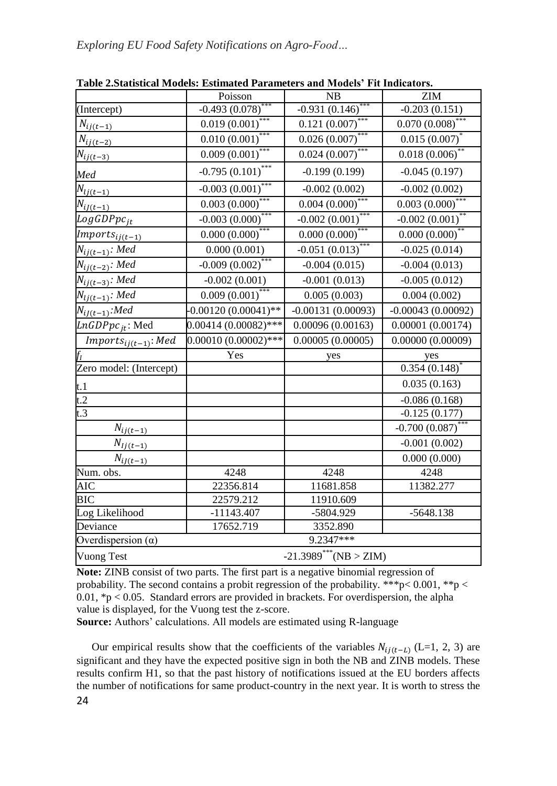|                                          | Poisson                              | <b>NB</b>           | <b>ZIM</b>           |  |
|------------------------------------------|--------------------------------------|---------------------|----------------------|--|
| (Intercept)                              | $-0.493(0.078)$                      | $-0.931(0.146)$     | $-0.203(0.151)$      |  |
| $N_{ij(\underline{t-1})}$                | $0.019(0.001)$ ***                   | $0.121 (0.007)$ *** | $0.070(0.008)$ ***   |  |
| $N_{ij(t-2)}$                            | ***<br>0.010(0.001)                  | ***<br>0.026(0.007) | $0.015(0.007)^*$     |  |
| $N_{ij(t-3)}$                            | 0.009(0.001)                         | $0.024~(0.007)$ *** | 0.018(0.006)         |  |
| Med                                      | $-0.795(0.101)$ ***                  | $-0.199(0.199)$     | $-0.045(0.197)$      |  |
| $N_{lj(t-1)}$                            | $-0.003(0.001)$                      | $-0.002(0.002)$     | $-0.002(0.002)$      |  |
| $N_{ij(t-1)}$                            | 0.003(0.000)                         | 0.004(0.000)        | $0.003(0.000)^{4}$   |  |
| LogGDPpc <sub>it</sub>                   | $-0.003(0.000)$ ***                  | $-0.002(0.001)$ *** | $-0.002(0.001)$ **   |  |
| $\textit{Imports}_{ij(\underline{t-1})}$ | $0.000 (0.000)$ ***                  | $0.000(0.000)$ ***  | $0.000 (0.000)^{**}$ |  |
| $N_{ij(t-1)}$ : Med                      | 0.000(0.001)                         | $-0.051(0.013)$ *** | $-0.025(0.014)$      |  |
| $N_{ij(t-2)}$ : Med                      | $-0.009(0.002)$ ***                  | $-0.004(0.015)$     | $-0.004(0.013)$      |  |
| $N_{ij(t-3)}$ : Med                      | $-0.002(0.001)$                      | $-0.001(0.013)$     | $-0.005(0.012)$      |  |
| $N_{lj(t-1)}$ : Med                      | $0.009\overline{(0.001)}^{***}$      | 0.005(0.003)        | 0.004(0.002)         |  |
| $N_{ij(t-1)}$ : Med                      | $-0.00120(0.00041)$ **               | $-0.00131(0.00093)$ | $-0.00043(0.00092)$  |  |
| $LnGDPpc_{it}$ : Med                     | $0.00414(0.00082)$ ***               | 0.00096(0.00163)    | 0.00001(0.00174)     |  |
| $Imports_{ij(t-1)}$ : Med                | $0.00010~(0.00002)$ ***              | 0.00005(0.00005)    | 0.00000(0.00009)     |  |
|                                          | Yes                                  | yes                 | yes                  |  |
| Zero model: (Intercept)                  |                                      |                     | 0.354(0.148)         |  |
| t.1                                      |                                      |                     | 0.035(0.163)         |  |
| $t.\overline{2}$                         |                                      |                     | $-0.086(0.168)$      |  |
| t.3                                      |                                      |                     | $-0.125(0.177)$      |  |
| $N_{ij\underline{(t-1)}}$                |                                      |                     | $-0.700(0.087)$ ***  |  |
| $N_{Ij(t-1)}$                            |                                      |                     | $-0.001(0.002)$      |  |
| $N_{ij(t-1)}$                            |                                      |                     | 0.000(0.000)         |  |
| Num. obs.                                | 4248                                 | 4248                | 4248                 |  |
| <b>AIC</b>                               | 22356.814                            | 11681.858           | 11382.277            |  |
| <b>BIC</b>                               | 22579.212                            | 11910.609           |                      |  |
| Log Likelihood                           | $-11143.407$                         | -5804.929           | $-5648.138$          |  |
| Deviance                                 | 17652.719                            | 3352.890            |                      |  |
| Overdispersion $(\alpha)$                |                                      | 9.2347***           |                      |  |
| <b>Vuong Test</b>                        | $-21.3989$ <sup>***</sup> (NB > ZIM) |                     |                      |  |

**Table 2.Statistical Models: Estimated Parameters and Models' Fit Indicators.**

**Note:** ZINB consist of two parts. The first part is a negative binomial regression of probability. The second contains a probit regression of the probability. \*\*\*p< 0.001, \*\*p < 0.01,  $\mathcal{P} > 0.05$ . Standard errors are provided in brackets. For overdispersion, the alpha value is displayed, for the Vuong test the z-score.

**Source:** Authors' calculations. All models are estimated using R-language

24 Our empirical results show that the coefficients of the variables  $N_{ij(t-L)}$  (L=1, 2, 3) are significant and they have the expected positive sign in both the NB and ZINB models. These results confirm H1, so that the past history of notifications issued at the EU borders affects the number of notifications for same product-country in the next year. It is worth to stress the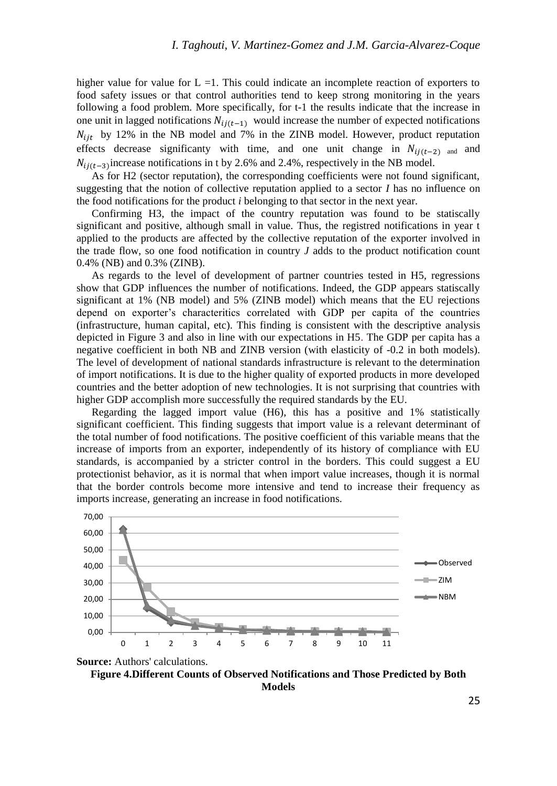higher value for value for  $L = 1$ . This could indicate an incomplete reaction of exporters to food safety issues or that control authorities tend to keep strong monitoring in the years following a food problem. More specifically, for t-1 the results indicate that the increase in one unit in lagged notifications  $N_{ij(t-1)}$  would increase the number of expected notifications  $N_{ijt}$  by 12% in the NB model and 7% in the ZINB model. However, product reputation effects decrease significanty with time, and one unit change in  $N_{i}(t-2)$  and and  $N_{ij(t-3)}$  increase notifications in t by 2.6% and 2.4%, respectively in the NB model.

As for H2 (sector reputation), the corresponding coefficients were not found significant, suggesting that the notion of collective reputation applied to a sector *I* has no influence on the food notifications for the product *i* belonging to that sector in the next year.

Confirming H3, the impact of the country reputation was found to be statiscally significant and positive, although small in value. Thus, the registred notifications in year t applied to the products are affected by the collective reputation of the exporter involved in the trade flow, so one food notification in country *J* adds to the product notification count 0.4% (NB) and 0.3% (ZINB).

As regards to the level of development of partner countries tested in H5, regressions show that GDP influences the number of notifications. Indeed, the GDP appears statiscally significant at 1% (NB model) and 5% (ZINB model) which means that the EU rejections depend on exporter's characteritics correlated with GDP per capita of the countries (infrastructure, human capital, etc). This finding is consistent with the descriptive analysis depicted in Figure 3 and also in line with our expectations in H5. The GDP per capita has a negative coefficient in both NB and ZINB version (with elasticity of -0.2 in both models). The level of development of national standards infrastructure is relevant to the determination of import notifications. It is due to the higher quality of exported products in more developed countries and the better adoption of new technologies. It is not surprising that countries with higher GDP accomplish more successfully the required standards by the EU.

Regarding the lagged import value (H6), this has a positive and 1% statistically significant coefficient. This finding suggests that import value is a relevant determinant of the total number of food notifications. The positive coefficient of this variable means that the increase of imports from an exporter, independently of its history of compliance with EU standards, is accompanied by a stricter control in the borders. This could suggest a EU protectionist behavior, as it is normal that when import value increases, though it is normal that the border controls become more intensive and tend to increase their frequency as imports increase, generating an increase in food notifications.



**Figure 4.Different Counts of Observed Notifications and Those Predicted by Both Models**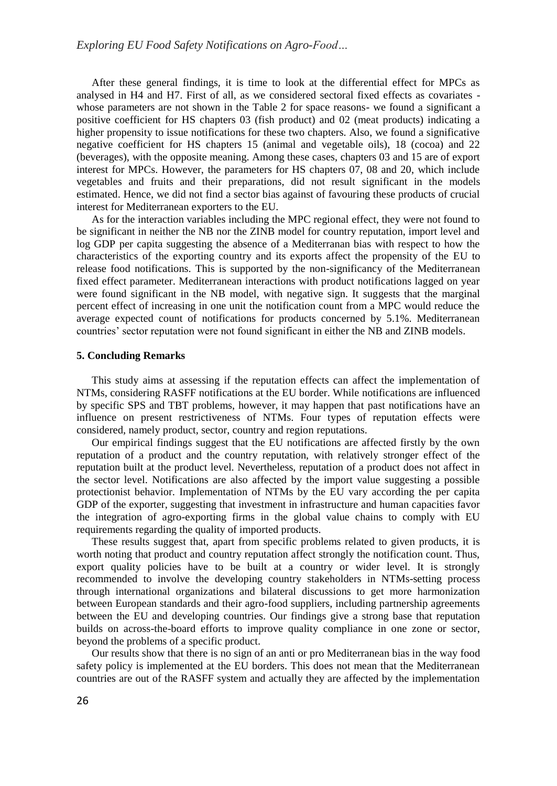After these general findings, it is time to look at the differential effect for MPCs as analysed in H4 and H7. First of all, as we considered sectoral fixed effects as covariates whose parameters are not shown in the Table 2 for space reasons- we found a significant a positive coefficient for HS chapters 03 (fish product) and 02 (meat products) indicating a higher propensity to issue notifications for these two chapters. Also, we found a significative negative coefficient for HS chapters 15 (animal and vegetable oils), 18 (cocoa) and 22 (beverages), with the opposite meaning. Among these cases, chapters 03 and 15 are of export interest for MPCs. However, the parameters for HS chapters 07, 08 and 20, which include vegetables and fruits and their preparations, did not result significant in the models estimated. Hence, we did not find a sector bias against of favouring these products of crucial interest for Mediterranean exporters to the EU.

As for the interaction variables including the MPC regional effect, they were not found to be significant in neither the NB nor the ZINB model for country reputation, import level and log GDP per capita suggesting the absence of a Mediterranan bias with respect to how the characteristics of the exporting country and its exports affect the propensity of the EU to release food notifications. This is supported by the non-significancy of the Mediterranean fixed effect parameter. Mediterranean interactions with product notifications lagged on year were found significant in the NB model, with negative sign. It suggests that the marginal percent effect of increasing in one unit the notification count from a MPC would reduce the average expected count of notifications for products concerned by 5.1%. Mediterranean countries' sector reputation were not found significant in either the NB and ZINB models.

### **5. Concluding Remarks**

This study aims at assessing if the reputation effects can affect the implementation of NTMs, considering RASFF notifications at the EU border. While notifications are influenced by specific SPS and TBT problems, however, it may happen that past notifications have an influence on present restrictiveness of NTMs. Four types of reputation effects were considered, namely product, sector, country and region reputations.

Our empirical findings suggest that the EU notifications are affected firstly by the own reputation of a product and the country reputation, with relatively stronger effect of the reputation built at the product level. Nevertheless, reputation of a product does not affect in the sector level. Notifications are also affected by the import value suggesting a possible protectionist behavior. Implementation of NTMs by the EU vary according the per capita GDP of the exporter, suggesting that investment in infrastructure and human capacities favor the integration of agro-exporting firms in the global value chains to comply with EU requirements regarding the quality of imported products.

These results suggest that, apart from specific problems related to given products, it is worth noting that product and country reputation affect strongly the notification count. Thus, export quality policies have to be built at a country or wider level. It is strongly recommended to involve the developing country stakeholders in NTMs-setting process through international organizations and bilateral discussions to get more harmonization between European standards and their agro-food suppliers, including partnership agreements between the EU and developing countries. Our findings give a strong base that reputation builds on across-the-board efforts to improve quality compliance in one zone or sector, beyond the problems of a specific product.

Our results show that there is no sign of an anti or pro Mediterranean bias in the way food safety policy is implemented at the EU borders. This does not mean that the Mediterranean countries are out of the RASFF system and actually they are affected by the implementation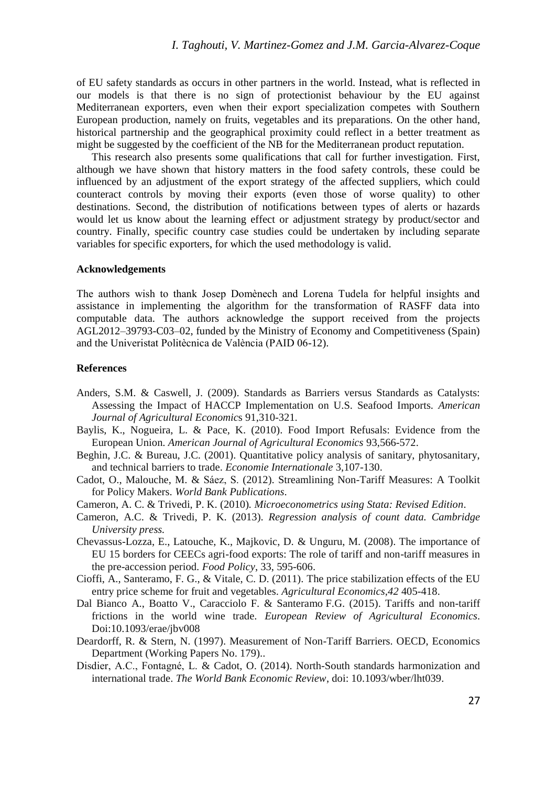of EU safety standards as occurs in other partners in the world. Instead, what is reflected in our models is that there is no sign of protectionist behaviour by the EU against Mediterranean exporters, even when their export specialization competes with Southern European production, namely on fruits, vegetables and its preparations. On the other hand, historical partnership and the geographical proximity could reflect in a better treatment as might be suggested by the coefficient of the NB for the Mediterranean product reputation.

This research also presents some qualifications that call for further investigation. First, although we have shown that history matters in the food safety controls, these could be influenced by an adjustment of the export strategy of the affected suppliers, which could counteract controls by moving their exports (even those of worse quality) to other destinations. Second, the distribution of notifications between types of alerts or hazards would let us know about the learning effect or adjustment strategy by product/sector and country. Finally, specific country case studies could be undertaken by including separate variables for specific exporters, for which the used methodology is valid.

### **Acknowledgements**

The authors wish to thank Josep Domènech and Lorena Tudela for helpful insights and assistance in implementing the algorithm for the transformation of RASFF data into computable data. The authors acknowledge the support received from the projects AGL2012–39793-C03–02, funded by the Ministry of Economy and Competitiveness (Spain) and the Univeristat Politècnica de València (PAID 06-12).

## **References**

- Anders, S.M. & Caswell, J. (2009). Standards as Barriers versus Standards as Catalysts: Assessing the Impact of HACCP Implementation on U.S. Seafood Imports. *American Journal of Agricultural Economic*s 91,310-321.
- Baylis, K., Nogueira, L. & Pace, K. (2010). Food Import Refusals: Evidence from the European Union. *American Journal of Agricultural Economics* 93,566-572.
- Beghin, J.C. & Bureau, J.C. (2001). Quantitative policy analysis of sanitary, phytosanitary, and technical barriers to trade. *Economie Internationale* 3,107-130.
- Cadot, O., Malouche, M. & Sáez, S. (2012). Streamlining Non-Tariff Measures: A Toolkit for Policy Makers. *World Bank Publications*.
- Cameron, A. C. & Trivedi, P. K. (2010)*. Microeconometrics using Stata: Revised Edition*.
- Cameron, A.C. & Trivedi, P. K. (2013). *Regression analysis of count data. Cambridge University press.*
- Chevassus-Lozza, E., Latouche, K., Majkovic, D. & Unguru, M. (2008). The importance of EU 15 borders for CEECs agri-food exports: The role of tariff and non-tariff measures in the pre-accession period. *Food Policy*, 33, 595-606.
- Cioffi, A., Santeramo, F. G., & Vitale, C. D. (2011). The price stabilization effects of the EU entry price scheme for fruit and vegetables. *Agricultural Economics*,*42* 405-418.
- Dal Bianco A., Boatto V., Caracciolo F. & Santeramo F.G. (2015). Tariffs and non-tariff frictions in the world wine trade. *European Review of Agricultural Economics*. Doi:10.1093/erae/jbv008
- Deardorff, R. & Stern, N. (1997). Measurement of Non-Tariff Barriers. OECD, Economics Department (Working Papers No. 179)..
- Disdier, A.C., Fontagné, L. & Cadot, O. (2014). North-South standards harmonization and international trade. *The World Bank Economic Review*, doi: 10.1093/wber/lht039.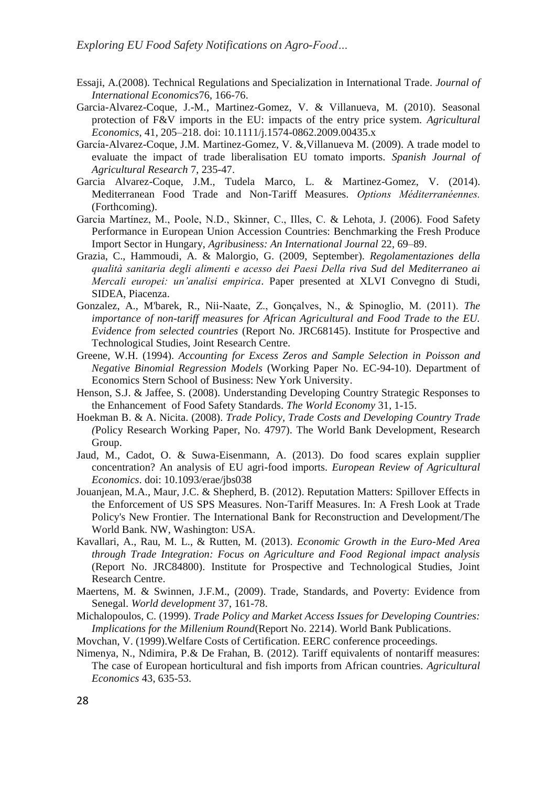- Essaji, A.(2008). Technical Regulations and Specialization in International Trade. *Journal of International Economics*76, 166-76.
- Garcia-Alvarez-Coque, J.-M., Martinez-Gomez, V. & Villanueva, M. (2010). Seasonal protection of F&V imports in the EU: impacts of the entry price system. *Agricultural Economics*, 41, 205–218. doi: 10.1111/j.1574-0862.2009.00435.x
- García-Alvarez-Coque, J.M. Martinez-Gomez, V. &,Villanueva M. (2009). A trade model to evaluate the impact of trade liberalisation EU tomato imports. *Spanish Journal of Agricultural Research* 7, 235-47.
- Garcia Alvarez-Coque, J.M., Tudela Marco, L. & Martinez-Gomez, V. (2014). Mediterranean Food Trade and Non-Tariff Measures. *Options Méditerranéennes.*  (Forthcoming).
- Garcia Martínez, M., Poole, N.D., Skinner, C., Illes, C. & Lehota, J. (2006). Food Safety Performance in European Union Accession Countries: Benchmarking the Fresh Produce Import Sector in Hungary, *Agribusiness: An International Journal* 22, 69–89.
- Grazia, C., Hammoudi, A. & Malorgio, G. (2009, September). *Regolamentaziones della qualità sanitaria degli alimenti e acesso dei Paesi Della riva Sud del Mediterraneo ai Mercali europei: un'analisi empirica*. Paper presented at XLVI Convegno di Studi, SIDEA, Piacenza.
- Gonzalez, A., M'barek, R., Nii-Naate, Z., Gonçalves, N., & Spinoglio, M. (2011). *The importance of non-tariff measures for African Agricultural and Food Trade to the EU. Evidence from selected countries* (Report No. JRC68145). Institute for Prospective and Technological Studies, Joint Research Centre.
- Greene, W.H. (1994). *Accounting for Excess Zeros and Sample Selection in Poisson and Negative Binomial Regression Models* (Working Paper No. EC-94-10). Department of Economics Stern School of Business: New York University.
- Henson, S.J. & Jaffee, S. (2008). Understanding Developing Country Strategic Responses to the Enhancement of Food Safety Standards. *The World Economy* 31, 1-15.
- Hoekman B. & A. Nicita. (2008). *Trade Policy, Trade Costs and Developing Country Trade (*Policy Research Working Paper, No. 4797). The World Bank Development, Research Group.
- Jaud, M., Cadot, O. & Suwa-Eisenmann, A. (2013). Do food scares explain supplier concentration? An analysis of EU agri-food imports. *European Review of Agricultural Economics*. doi: 10.1093/erae/jbs038
- Jouanjean, M.A., Maur, J.C. & Shepherd, B. (2012). Reputation Matters: Spillover Effects in the Enforcement of US SPS Measures. Non-Tariff Measures. In: A Fresh Look at Trade Policy's New Frontier. The International Bank for Reconstruction and Development/The World Bank. NW, Washington: USA.
- Kavallari, A., Rau, M. L., & Rutten, M. (2013). *Economic Growth in the Euro-Med Area through Trade Integration: Focus on Agriculture and Food Regional impact analysis* (Report No. JRC84800). Institute for Prospective and Technological Studies, Joint Research Centre.
- Maertens, M. & Swinnen, J.F.M., (2009). Trade, Standards, and Poverty: Evidence from Senegal. *World development* 37, 161-78.
- Michalopoulos, C. (1999). *Trade Policy and Market Access Issues for Developing Countries: Implications for the Millenium Round*(Report No. 2214). World Bank Publications.
- Movchan, V. (1999).Welfare Costs of Certification. EERC conference proceedings.
- Nimenya, N., Ndimira, P.& De Frahan, B. (2012). Tariff equivalents of nontariff measures: The case of European horticultural and fish imports from African countries. *Agricultural Economics* 43, 635-53.